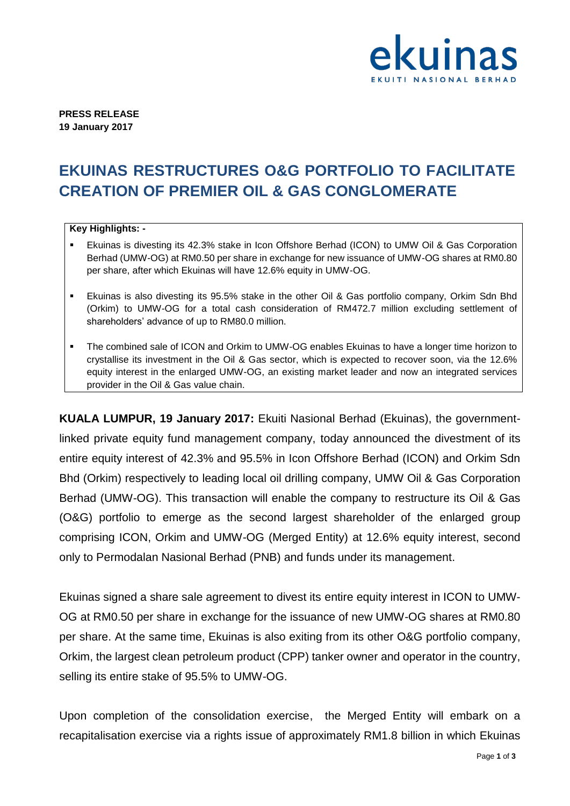

**PRESS RELEASE 19 January 2017**

## **EKUINAS RESTRUCTURES O&G PORTFOLIO TO FACILITATE CREATION OF PREMIER OIL & GAS CONGLOMERATE**

## **Key Highlights: -**

- Ekuinas is divesting its 42.3% stake in Icon Offshore Berhad (ICON) to UMW Oil & Gas Corporation Berhad (UMW-OG) at RM0.50 per share in exchange for new issuance of UMW-OG shares at RM0.80 per share, after which Ekuinas will have 12.6% equity in UMW-OG.
- Ekuinas is also divesting its 95.5% stake in the other Oil & Gas portfolio company, Orkim Sdn Bhd (Orkim) to UMW-OG for a total cash consideration of RM472.7 million excluding settlement of shareholders' advance of up to RM80.0 million.
- The combined sale of ICON and Orkim to UMW-OG enables Ekuinas to have a longer time horizon to crystallise its investment in the Oil & Gas sector, which is expected to recover soon, via the 12.6% equity interest in the enlarged UMW-OG, an existing market leader and now an integrated services provider in the Oil & Gas value chain.

**KUALA LUMPUR, 19 January 2017:** Ekuiti Nasional Berhad (Ekuinas), the governmentlinked private equity fund management company, today announced the divestment of its entire equity interest of 42.3% and 95.5% in Icon Offshore Berhad (ICON) and Orkim Sdn Bhd (Orkim) respectively to leading local oil drilling company, UMW Oil & Gas Corporation Berhad (UMW-OG). This transaction will enable the company to restructure its Oil & Gas (O&G) portfolio to emerge as the second largest shareholder of the enlarged group comprising ICON, Orkim and UMW-OG (Merged Entity) at 12.6% equity interest, second only to Permodalan Nasional Berhad (PNB) and funds under its management.

Ekuinas signed a share sale agreement to divest its entire equity interest in ICON to UMW-OG at RM0.50 per share in exchange for the issuance of new UMW-OG shares at RM0.80 per share. At the same time, Ekuinas is also exiting from its other O&G portfolio company, Orkim, the largest clean petroleum product (CPP) tanker owner and operator in the country, selling its entire stake of 95.5% to UMW-OG.

Upon completion of the consolidation exercise, the Merged Entity will embark on a recapitalisation exercise via a rights issue of approximately RM1.8 billion in which Ekuinas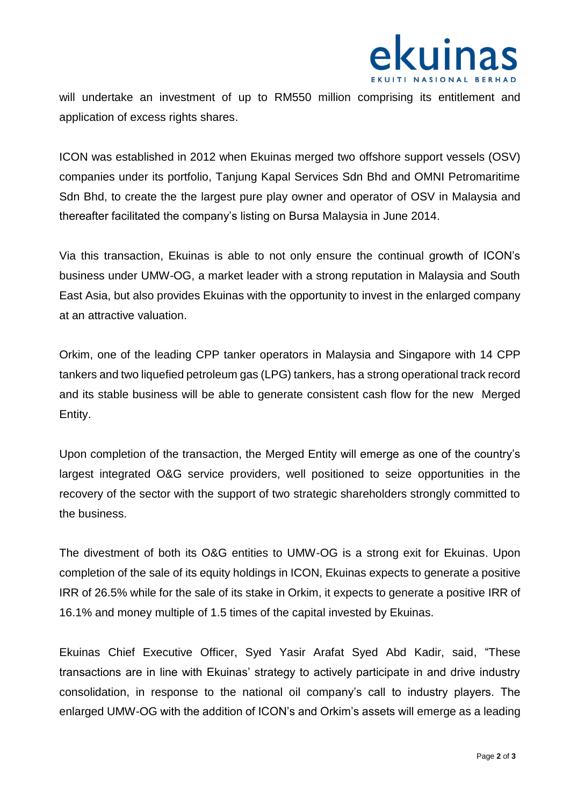

will undertake an investment of up to RM550 million comprising its entitlement and application of excess rights shares.

ICON was established in 2012 when Ekuinas merged two offshore support vessels (OSV) companies under its portfolio, Tanjung Kapal Services Sdn Bhd and OMNI Petromaritime Sdn Bhd, to create the the largest pure play owner and operator of OSV in Malaysia and thereafter facilitated the company's listing on Bursa Malaysia in June 2014.

Via this transaction, Ekuinas is able to not only ensure the continual growth of ICON's business under UMW-OG, a market leader with a strong reputation in Malaysia and South East Asia, but also provides Ekuinas with the opportunity to invest in the enlarged company at an attractive valuation.

Orkim, one of the leading CPP tanker operators in Malaysia and Singapore with 14 CPP tankers and two liquefied petroleum gas (LPG) tankers, has a strong operational track record and its stable business will be able to generate consistent cash flow for the new Merged Entity.

Upon completion of the transaction, the Merged Entity will emerge as one of the country's largest integrated O&G service providers, well positioned to seize opportunities in the recovery of the sector with the support of two strategic shareholders strongly committed to the business.

The divestment of both its O&G entities to UMW-OG is a strong exit for Ekuinas. Upon completion of the sale of its equity holdings in ICON, Ekuinas expects to generate a positive IRR of 26.5% while for the sale of its stake in Orkim, it expects to generate a positive IRR of 16.1% and money multiple of 1.5 times of the capital invested by Ekuinas.

Ekuinas Chief Executive Officer, Syed Yasir Arafat Syed Abd Kadir, said, "These transactions are in line with Ekuinas' strategy to actively participate in and drive industry consolidation, in response to the national oil company's call to industry players. The enlarged UMW-OG with the addition of ICON's and Orkim's assets will emerge as a leading